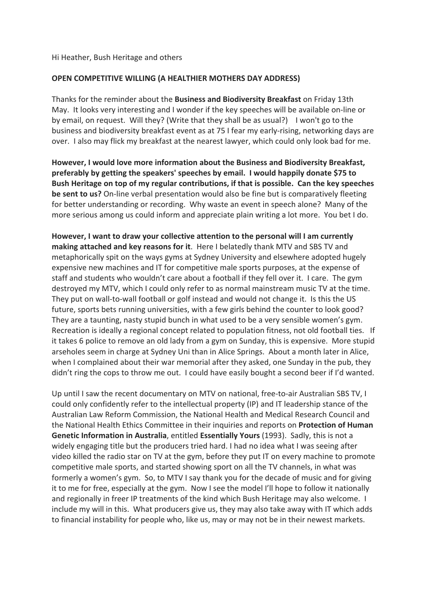## Hi Heather, Bush Heritage and others

## **OPEN COMPETITIVE WILLING (A HEALTHIER MOTHERS DAY ADDRESS)**

Thanks for the reminder about the **Business and Biodiversity Breakfast** on Friday 13th May. It looks very interesting and I wonder if the key speeches will be available on-line or by email, on request. Will they? (Write that they shall be as usual?) I won't go to the business and biodiversity breakfast event as at 75 I fear my early-rising, networking days are over. I also may flick my breakfast at the nearest lawyer, which could only look bad for me.

**However, I would love more information about the Business and Biodiversity Breakfast, preferably by getting the speakers' speeches by email. I would happily donate \$75 to Bush Heritage on top of my regular contributions, if that is possible. Can the key speeches be sent to us?** On-line verbal presentation would also be fine but is comparatively fleeting for better understanding or recording. Why waste an event in speech alone? Many of the more serious among us could inform and appreciate plain writing a lot more. You bet I do.

**However, I want to draw your collective attention to the personal will I am currently making attached and key reasons for it**. Here I belatedly thank MTV and SBS TV and metaphorically spit on the ways gyms at Sydney University and elsewhere adopted hugely expensive new machines and IT for competitive male sports purposes, at the expense of staff and students who wouldn't care about a football if they fell over it. I care. The gym destroyed my MTV, which I could only refer to as normal mainstream music TV at the time. They put on wall-to-wall football or golf instead and would not change it. Is this the US future, sports bets running universities, with a few girls behind the counter to look good? They are a taunting, nasty stupid bunch in what used to be a very sensible women's gym. Recreation is ideally a regional concept related to population fitness, not old football ties. If it takes 6 police to remove an old lady from a gym on Sunday, this is expensive. More stupid arseholes seem in charge at Sydney Uni than in Alice Springs. About a month later in Alice, when I complained about their war memorial after they asked, one Sunday in the pub, they didn't ring the cops to throw me out. I could have easily bought a second beer if I'd wanted.

Up until I saw the recent documentary on MTV on national, free-to-air Australian SBS TV, I could only confidently refer to the intellectual property (IP) and IT leadership stance of the Australian Law Reform Commission, the National Health and Medical Research Council and the National Health Ethics Committee in their inquiries and reports on **Protection of Human Genetic Information in Australia**, entitled **Essentially Yours** (1993). Sadly, this is not a widely engaging title but the producers tried hard. I had no idea what I was seeing after video killed the radio star on TV at the gym, before they put IT on every machine to promote competitive male sports, and started showing sport on all the TV channels, in what was formerly a women's gym. So, to MTV I say thank you for the decade of music and for giving it to me for free, especially at the gym. Now I see the model I'll hope to follow it nationally and regionally in freer IP treatments of the kind which Bush Heritage may also welcome. I include my will in this. What producers give us, they may also take away with IT which adds to financial instability for people who, like us, may or may not be in their newest markets.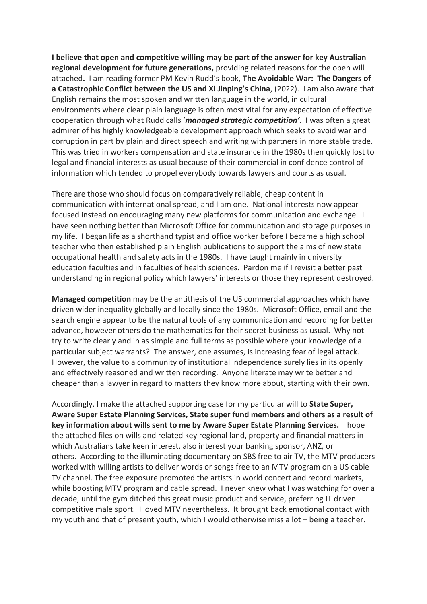**I believe that open and competitive willing may be part of the answer for key Australian regional development for future generations,** providing related reasons for the open will attached**.** I am reading former PM Kevin Rudd's book, **The Avoidable War: The Dangers of a Catastrophic Conflict between the US and Xi Jinping's China**, (2022). I am also aware that English remains the most spoken and written language in the world, in cultural environments where clear plain language is often most vital for any expectation of effective cooperation through what Rudd calls '*managed strategic competition'*. I was often a great admirer of his highly knowledgeable development approach which seeks to avoid war and corruption in part by plain and direct speech and writing with partners in more stable trade. This was tried in workers compensation and state insurance in the 1980s then quickly lost to legal and financial interests as usual because of their commercial in confidence control of information which tended to propel everybody towards lawyers and courts as usual.

There are those who should focus on comparatively reliable, cheap content in communication with international spread, and I am one. National interests now appear focused instead on encouraging many new platforms for communication and exchange. I have seen nothing better than Microsoft Office for communication and storage purposes in my life. I began life as a shorthand typist and office worker before I became a high school teacher who then established plain English publications to support the aims of new state occupational health and safety acts in the 1980s. I have taught mainly in university education faculties and in faculties of health sciences. Pardon me if I revisit a better past understanding in regional policy which lawyers' interests or those they represent destroyed.

**Managed competition** may be the antithesis of the US commercial approaches which have driven wider inequality globally and locally since the 1980s. Microsoft Office, email and the search engine appear to be the natural tools of any communication and recording for better advance, however others do the mathematics for their secret business as usual. Why not try to write clearly and in as simple and full terms as possible where your knowledge of a particular subject warrants? The answer, one assumes, is increasing fear of legal attack. However, the value to a community of institutional independence surely lies in its openly and effectively reasoned and written recording. Anyone literate may write better and cheaper than a lawyer in regard to matters they know more about, starting with their own.

Accordingly, I make the attached supporting case for my particular will to **State Super, Aware Super Estate Planning Services, State super fund members and others as a result of key information about wills sent to me by Aware Super Estate Planning Services.** I hope the attached files on wills and related key regional land, property and financial matters in which Australians take keen interest, also interest your banking sponsor, ANZ, or others. According to the illuminating documentary on SBS free to air TV, the MTV producers worked with willing artists to deliver words or songs free to an MTV program on a US cable TV channel. The free exposure promoted the artists in world concert and record markets, while boosting MTV program and cable spread. I never knew what I was watching for over a decade, until the gym ditched this great music product and service, preferring IT driven competitive male sport. I loved MTV nevertheless. It brought back emotional contact with my youth and that of present youth, which I would otherwise miss a lot – being a teacher.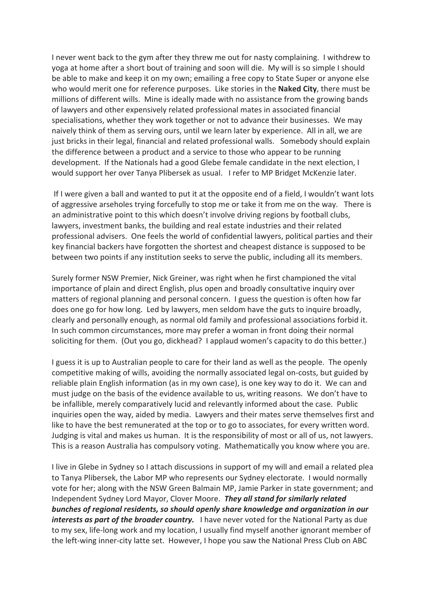I never went back to the gym after they threw me out for nasty complaining. I withdrew to yoga at home after a short bout of training and soon will die. My will is so simple I should be able to make and keep it on my own; emailing a free copy to State Super or anyone else who would merit one for reference purposes. Like stories in the **Naked City**, there must be millions of different wills. Mine is ideally made with no assistance from the growing bands of lawyers and other expensively related professional mates in associated financial specialisations, whether they work together or not to advance their businesses. We may naively think of them as serving ours, until we learn later by experience. All in all, we are just bricks in their legal, financial and related professional walls. Somebody should explain the difference between a product and a service to those who appear to be running development. If the Nationals had a good Glebe female candidate in the next election, I would support her over Tanya Plibersek as usual. I refer to MP Bridget McKenzie later.

If I were given a ball and wanted to put it at the opposite end of a field, I wouldn't want lots of aggressive arseholes trying forcefully to stop me or take it from me on the way. There is an administrative point to this which doesn't involve driving regions by football clubs, lawyers, investment banks, the building and real estate industries and their related professional advisers. One feels the world of confidential lawyers, political parties and their key financial backers have forgotten the shortest and cheapest distance is supposed to be between two points if any institution seeks to serve the public, including all its members.

Surely former NSW Premier, Nick Greiner, was right when he first championed the vital importance of plain and direct English, plus open and broadly consultative inquiry over matters of regional planning and personal concern. I guess the question is often how far does one go for how long. Led by lawyers, men seldom have the guts to inquire broadly, clearly and personally enough, as normal old family and professional associations forbid it. In such common circumstances, more may prefer a woman in front doing their normal soliciting for them. (Out you go, dickhead? I applaud women's capacity to do this better.)

I guess it is up to Australian people to care for their land as well as the people. The openly competitive making of wills, avoiding the normally associated legal on-costs, but guided by reliable plain English information (as in my own case), is one key way to do it. We can and must judge on the basis of the evidence available to us, writing reasons. We don't have to be infallible, merely comparatively lucid and relevantly informed about the case. Public inquiries open the way, aided by media. Lawyers and their mates serve themselves first and like to have the best remunerated at the top or to go to associates, for every written word. Judging is vital and makes us human. It is the responsibility of most or all of us, not lawyers. This is a reason Australia has compulsory voting. Mathematically you know where you are.

I live in Glebe in Sydney so I attach discussions in support of my will and email a related plea to Tanya Plibersek, the Labor MP who represents our Sydney electorate. I would normally vote for her; along with the NSW Green Balmain MP, Jamie Parker in state government; and Independent Sydney Lord Mayor, Clover Moore. *They all stand for similarly related bunches of regional residents, so should openly share knowledge and organization in our interests as part of the broader country.* I have never voted for the National Party as due to my sex, life-long work and my location, I usually find myself another ignorant member of the left-wing inner-city latte set. However, I hope you saw the National Press Club on ABC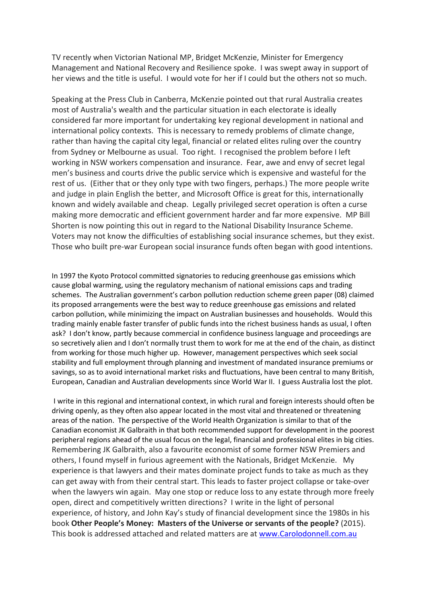TV recently when Victorian National MP, Bridget McKenzie, Minister for Emergency Management and National Recovery and Resilience spoke. I was swept away in support of her views and the title is useful. I would vote for her if I could but the others not so much.

Speaking at the Press Club in Canberra, McKenzie pointed out that rural Australia creates most of Australia's wealth and the particular situation in each electorate is ideally considered far more important for undertaking key regional development in national and international policy contexts. This is necessary to remedy problems of climate change, rather than having the capital city legal, financial or related elites ruling over the country from Sydney or Melbourne as usual. Too right. I recognised the problem before I left working in NSW workers compensation and insurance. Fear, awe and envy of secret legal men's business and courts drive the public service which is expensive and wasteful for the rest of us. (Either that or they only type with two fingers, perhaps.) The more people write and judge in plain English the better, and Microsoft Office is great for this, internationally known and widely available and cheap. Legally privileged secret operation is often a curse making more democratic and efficient government harder and far more expensive. MP Bill Shorten is now pointing this out in regard to the National Disability Insurance Scheme. Voters may not know the difficulties of establishing social insurance schemes, but they exist. Those who built pre-war European social insurance funds often began with good intentions.

In 1997 the Kyoto Protocol committed signatories to reducing greenhouse gas emissions which cause global warming, using the regulatory mechanism of national emissions caps and trading schemes. The Australian government's carbon pollution reduction scheme green paper (08) claimed its proposed arrangements were the best way to reduce greenhouse gas emissions and related carbon pollution, while minimizing the impact on Australian businesses and households. Would this trading mainly enable faster transfer of public funds into the richest business hands as usual, I often ask? I don't know, partly because commercial in confidence business language and proceedings are so secretively alien and I don't normally trust them to work for me at the end of the chain, as distinct from working for those much higher up. However, management perspectives which seek social stability and full employment through planning and investment of mandated insurance premiums or savings, so as to avoid international market risks and fluctuations, have been central to many British, European, Canadian and Australian developments since World War II. I guess Australia lost the plot.

I write in this regional and international context, in which rural and foreign interests should often be driving openly, as they often also appear located in the most vital and threatened or threatening areas of the nation. The perspective of the World Health Organization is similar to that of the Canadian economist JK Galbraith in that both recommended support for development in the poorest peripheral regions ahead of the usual focus on the legal, financial and professional elites in big cities. Remembering JK Galbraith, also a favourite economist of some former NSW Premiers and others, I found myself in furious agreement with the Nationals, Bridget McKenzie. My experience is that lawyers and their mates dominate project funds to take as much as they can get away with from their central start. This leads to faster project collapse or take-over when the lawyers win again. May one stop or reduce loss to any estate through more freely open, direct and competitively written directions? I write in the light of personal experience, of history, and John Kay's study of financial development since the 1980s in his book **Other People's Money: Masters of the Universe or servants of the people?** (2015). This book is addressed attached and related matters are at www.Carolodonnell.com.au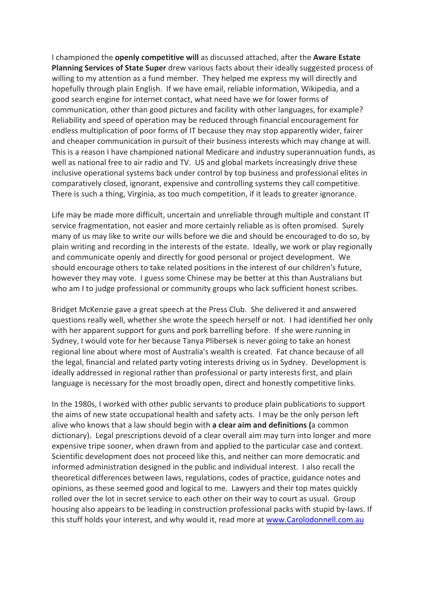I championed the **openly competitive will** as discussed attached, after the **Aware Estate Planning Services of State Super** drew various facts about their ideally suggested process of willing to my attention as a fund member. They helped me express my will directly and hopefully through plain English. If we have email, reliable information, Wikipedia, and a good search engine for internet contact, what need have we for lower forms of communication, other than good pictures and facility with other languages, for example? Reliability and speed of operation may be reduced through financial encouragement for endless multiplication of poor forms of IT because they may stop apparently wider, fairer and cheaper communication in pursuit of their business interests which may change at will. This is a reason I have championed national Medicare and industry superannuation funds, as well as national free to air radio and TV. US and global markets increasingly drive these inclusive operational systems back under control by top business and professional elites in comparatively closed, ignorant, expensive and controlling systems they call competitive. There is such a thing, Virginia, as too much competition, if it leads to greater ignorance.

Life may be made more difficult, uncertain and unreliable through multiple and constant IT service fragmentation, not easier and more certainly reliable as is often promised. Surely many of us may like to write our wills before we die and should be encouraged to do so, by plain writing and recording in the interests of the estate. Ideally, we work or play regionally and communicate openly and directly for good personal or project development. We should encourage others to take related positions in the interest of our children's future, however they may vote. I guess some Chinese may be better at this than Australians but who am I to judge professional or community groups who lack sufficient honest scribes.

Bridget McKenzie gave a great speech at the Press Club. She delivered it and answered questions really well, whether she wrote the speech herself or not. I had identified her only with her apparent support for guns and pork barrelling before. If she were running in Sydney, I would vote for her because Tanya Plibersek is never going to take an honest regional line about where most of Australia's wealth is created. Fat chance because of all the legal, financial and related party voting interests driving us in Sydney. Development is ideally addressed in regional rather than professional or party interests first, and plain language is necessary for the most broadly open, direct and honestly competitive links.

In the 1980s, I worked with other public servants to produce plain publications to support the aims of new state occupational health and safety acts. I may be the only person left alive who knows that a law should begin with **a clear aim and definitions (**a common dictionary). Legal prescriptions devoid of a clear overall aim may turn into longer and more expensive tripe sooner, when drawn from and applied to the particular case and context. Scientific development does not proceed like this, and neither can more democratic and informed administration designed in the public and individual interest. I also recall the theoretical differences between laws, regulations, codes of practice, guidance notes and opinions, as these seemed good and logical to me. Lawyers and their top mates quickly rolled over the lot in secret service to each other on their way to court as usual. Group housing also appears to be leading in construction professional packs with stupid by-laws. If this stuff holds your interest, and why would it, read more at www.Carolodonnell.com.au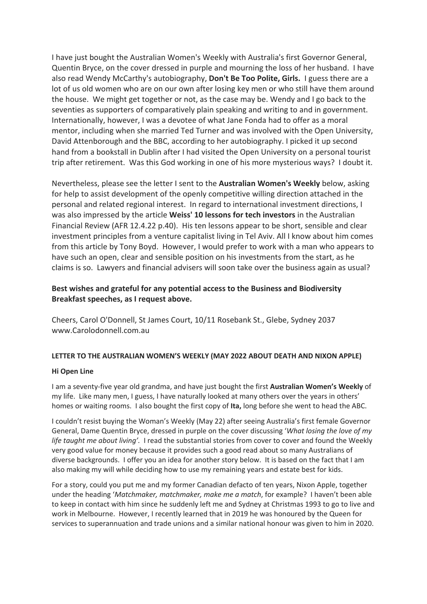I have just bought the Australian Women's Weekly with Australia's first Governor General, Quentin Bryce, on the cover dressed in purple and mourning the loss of her husband. I have also read Wendy McCarthy's autobiography, **Don't Be Too Polite, Girls.** I guess there are a lot of us old women who are on our own after losing key men or who still have them around the house. We might get together or not, as the case may be. Wendy and I go back to the seventies as supporters of comparatively plain speaking and writing to and in government. Internationally, however, I was a devotee of what Jane Fonda had to offer as a moral mentor, including when she married Ted Turner and was involved with the Open University, David Attenborough and the BBC, according to her autobiography. I picked it up second hand from a bookstall in Dublin after I had visited the Open University on a personal tourist trip after retirement. Was this God working in one of his more mysterious ways? I doubt it.

Nevertheless, please see the letter I sent to the **Australian Women's Weekly** below, asking for help to assist development of the openly competitive willing direction attached in the personal and related regional interest. In regard to international investment directions, I was also impressed by the article **Weiss' 10 lessons for tech investors** in the Australian Financial Review (AFR 12.4.22 p.40). His ten lessons appear to be short, sensible and clear investment principles from a venture capitalist living in Tel Aviv. All I know about him comes from this article by Tony Boyd. However, I would prefer to work with a man who appears to have such an open, clear and sensible position on his investments from the start, as he claims is so. Lawyers and financial advisers will soon take over the business again as usual?

# **Best wishes and grateful for any potential access to the Business and Biodiversity Breakfast speeches, as I request above.**

Cheers, Carol O'Donnell, St James Court, 10/11 Rosebank St., Glebe, Sydney 2037 www.Carolodonnell.com.au

## **LETTER TO THE AUSTRALIAN WOMEN'S WEEKLY (MAY 2022 ABOUT DEATH AND NIXON APPLE)**

#### **Hi Open Line**

I am a seventy-five year old grandma, and have just bought the first **Australian Women's Weekly** of my life. Like many men, I guess, I have naturally looked at many others over the years in others' homes or waiting rooms. I also bought the first copy of **Ita,** long before she went to head the ABC.

I couldn't resist buying the Woman's Weekly (May 22) after seeing Australia's first female Governor General, Dame Quentin Bryce, dressed in purple on the cover discussing '*What losing the love of my life taught me about living'.* I read the substantial stories from cover to cover and found the Weekly very good value for money because it provides such a good read about so many Australians of diverse backgrounds. I offer you an idea for another story below. It is based on the fact that I am also making my will while deciding how to use my remaining years and estate best for kids.

For a story, could you put me and my former Canadian defacto of ten years, Nixon Apple, together under the heading '*Matchmaker, matchmaker, make me a match*, for example? I haven't been able to keep in contact with him since he suddenly left me and Sydney at Christmas 1993 to go to live and work in Melbourne. However, I recently learned that in 2019 he was honoured by the Queen for services to superannuation and trade unions and a similar national honour was given to him in 2020.